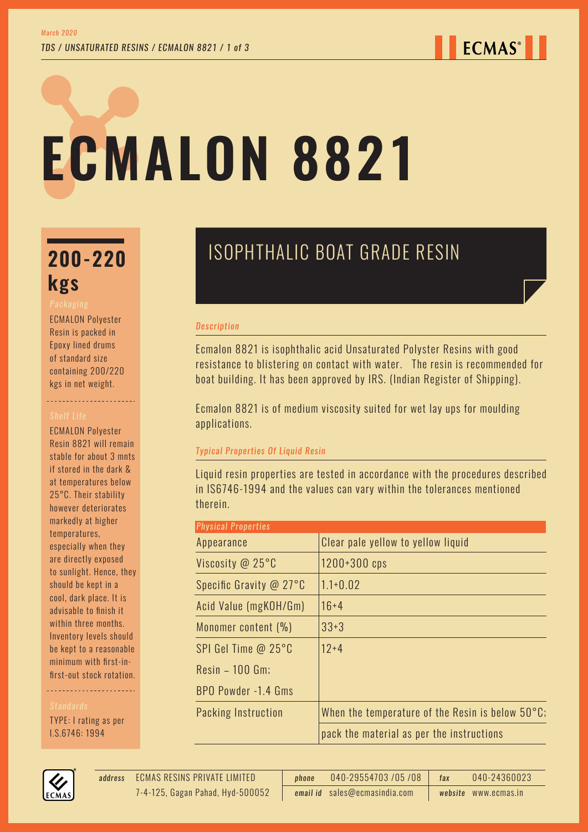# **ECMALON 8821**

# **kgs**

ECMALON Polyester Resin is packed in Epoxy lined drums of standard size containing 200/220 kgs in net weight.

----------------------

ECMALON Polyester Resin 8821 will remain stable for about 3 mnts if stored in the dark & at temperatures below 25°C. Their stability however deteriorates markedly at higher temperatures, especially when they are directly exposed to sunlight. Hence, they should be kept in a cool, dark place. It is advisable to finish it within three months. Inventory levels should be kept to a reasonable minimum with first-infirst-out stock rotation.

TYPE: I rating as per I.S.6746: 1994



#### *Description*

Ecmalon 8821 is isophthalic acid Unsaturated Polyster Resins with good resistance to blistering on contact with water. The resin is recommended for boat building. It has been approved by IRS. (Indian Register of Shipping).

Ecmalon 8821 is of medium viscosity suited for wet lay ups for moulding applications.

#### *Typical Properties Of Liquid Resin*

Liquid resin properties are tested in accordance with the procedures described in IS6746-1994 and the values can vary within the tolerances mentioned therein.

| <b>Physical Properties</b>   |                                                  |  |
|------------------------------|--------------------------------------------------|--|
| Appearance                   | Clear pale yellow to yellow liquid               |  |
| Viscosity @ 25°C             | $1200+300$ cps                                   |  |
| Specific Gravity $@$ 27 $°C$ | $1.1 + 0.02$                                     |  |
| Acid Value (mgKOH/Gm)        | $16 + 4$                                         |  |
| Monomer content (%)          | $33+3$                                           |  |
| $SPI$ Gel Time @ 25 $°C$     | $12+4$                                           |  |
| Resin - 100 Gm;              |                                                  |  |
| BPO Powder -1.4 Gms          |                                                  |  |
| Packing Instruction          | When the temperature of the Resin is below 50°C; |  |
|                              | pack the material as per the instructions        |  |



ECMAS RESINS PRIVATE LIMITED *address phone* 040-29554703 /05 /08 *fax* 040-24360023 *email id* sales@ecmasindia.com *website* www.ecmas.in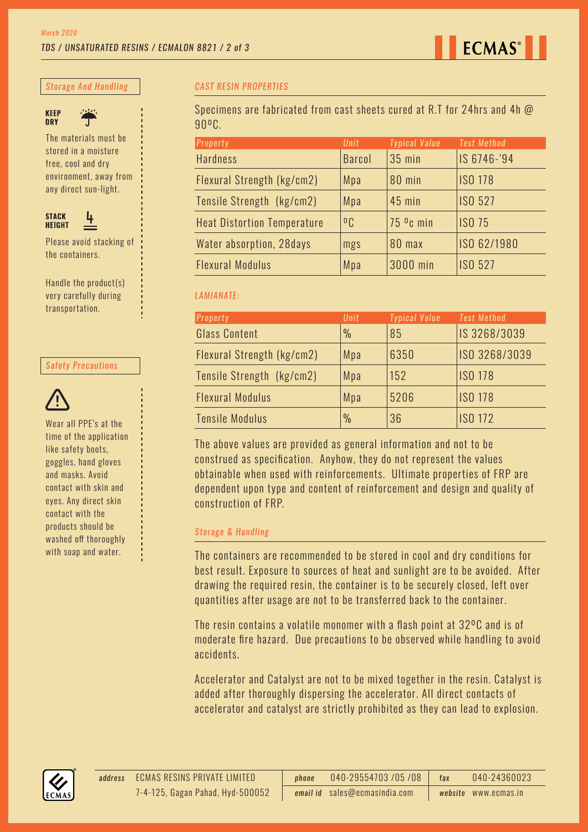

*Storage And Handling*



The materials must be stored in a moisture free, cool and dry environment, away from any direct sun-light.



Please avoid stacking of the containers.

Handle the product(s) very carefully during transportation.

## *Safety Precautions*



Wear all PPE's at the time of the application like safety boots, goggles, hand gloves and masks. Avoid contact with skin and eyes. Any direct skin contact with the products should be washed off thoroughly with soap and water.

# *CAST RESIN PROPERTIES*

Specimens are fabricated from cast sheets cured at R.T for 24hrs and 4h @ 90ºC.

| Property                           | Unit           | <b>Typical Value</b>  | <b>Test Method</b> |
|------------------------------------|----------------|-----------------------|--------------------|
| <b>Hardness</b>                    | <b>Barcol</b>  | 35 min                | IS 6746-'94        |
| Flexural Strength (kg/cm2)         | Mpa            | 80 min                | <b>ISO 178</b>     |
| Tensile Strength (kg/cm2)          | Mpa            | $45$ min              | <b>ISO 527</b>     |
| <b>Heat Distortion Temperature</b> | 0 <sub>C</sub> | 75 <sup>o</sup> c min | <b>ISO 75</b>      |
| Water absorption, 28days           | mgs            | 80 max                | ISO 62/1980        |
| <b>Flexural Modulus</b>            | Mpa            | 3000 min              | <b>ISO 527</b>     |

## *LAMIANATE:*

| Property                   | Unit          | <b>Typical Value</b> | <b>Test Method</b> |
|----------------------------|---------------|----------------------|--------------------|
| <b>Glass Content</b>       | $\frac{0}{0}$ | 85                   | IS 3268/3039       |
| Flexural Strength (kg/cm2) | Mpa           | 6350                 | ISO 3268/3039      |
| Tensile Strength (kg/cm2)  | Mpa           | 152                  | <b>ISO 178</b>     |
| <b>Flexural Modulus</b>    | Mpa           | 5206                 | <b>ISO 178</b>     |
| <b>Tensile Modulus</b>     | $\frac{0}{0}$ | 36                   | <b>ISO 172</b>     |

The above values are provided as general information and not to be construed as specification. Anyhow, they do not represent the values obtainable when used with reinforcements. Ultimate properties of FRP are dependent upon type and content of reinforcement and design and quality of construction of FRP.

#### *Storage & Handling*

The containers are recommended to be stored in cool and dry conditions for best result. Exposure to sources of heat and sunlight are to be avoided. After drawing the required resin, the container is to be securely closed, left over quantities after usage are not to be transferred back to the container.

The resin contains a volatile monomer with a flash point at 32ºC and is of moderate fire hazard. Due precautions to be observed while handling to avoid accidents.

Accelerator and Catalyst are not to be mixed together in the resin. Catalyst is added after thoroughly dispersing the accelerator. All direct contacts of accelerator and catalyst are strictly prohibited as they can lead to explosion.